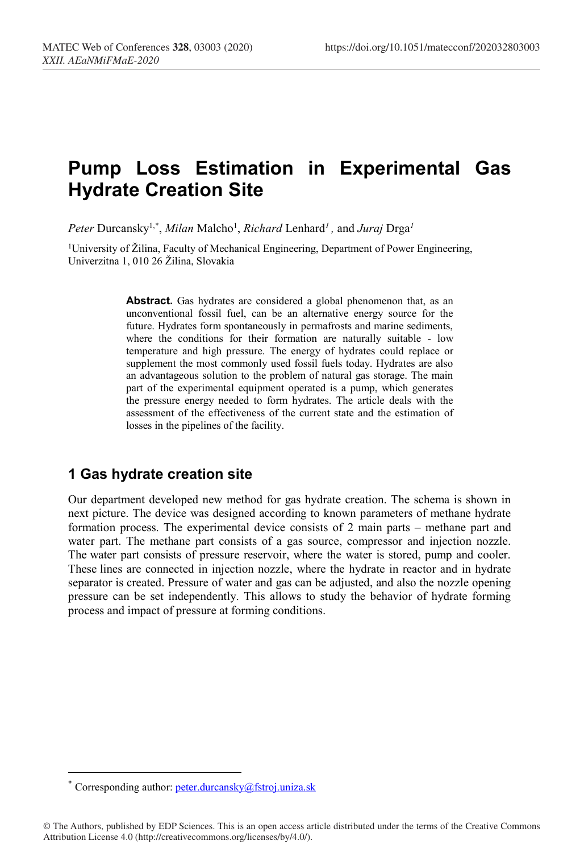# **Pump Loss Estimation in Experimental Gas Hydrate Creation Site**

*Peter* Durcansky1,\* , *Milan* Malcho1 , *Richard* Lenhard*<sup>1</sup> ,* and *Juraj* Drga*<sup>1</sup>*

<sup>1</sup>University of Žilina, Faculty of Mechanical Engineering, Department of Power Engineering, Univerzitna 1, 010 26 Žilina, Slovakia

> Abstract. Gas hydrates are considered a global phenomenon that, as an unconventional fossil fuel, can be an alternative energy source for the future. Hydrates form spontaneously in permafrosts and marine sediments, where the conditions for their formation are naturally suitable - low temperature and high pressure. The energy of hydrates could replace or supplement the most commonly used fossil fuels today. Hydrates are also an advantageous solution to the problem of natural gas storage. The main part of the experimental equipment operated is a pump, which generates the pressure energy needed to form hydrates. The article deals with the assessment of the effectiveness of the current state and the estimation of losses in the pipelines of the facility.

## **1 Gas hydrate creation site**

Our department developed new method for gas hydrate creation. The schema is shown in next picture. The device was designed according to known parameters of methane hydrate formation process. The experimental device consists of 2 main parts – methane part and water part. The methane part consists of a gas source, compressor and injection nozzle. The water part consists of pressure reservoir, where the water is stored, pump and cooler. These lines are connected in injection nozzle, where the hydrate in reactor and in hydrate separator is created. Pressure of water and gas can be adjusted, and also the nozzle opening pressure can be set independently. This allows to study the behavior of hydrate forming process and impact of pressure at forming conditions.

 <sup>\*</sup> Corresponding author: peter.durcansky@fstroj.uniza.sk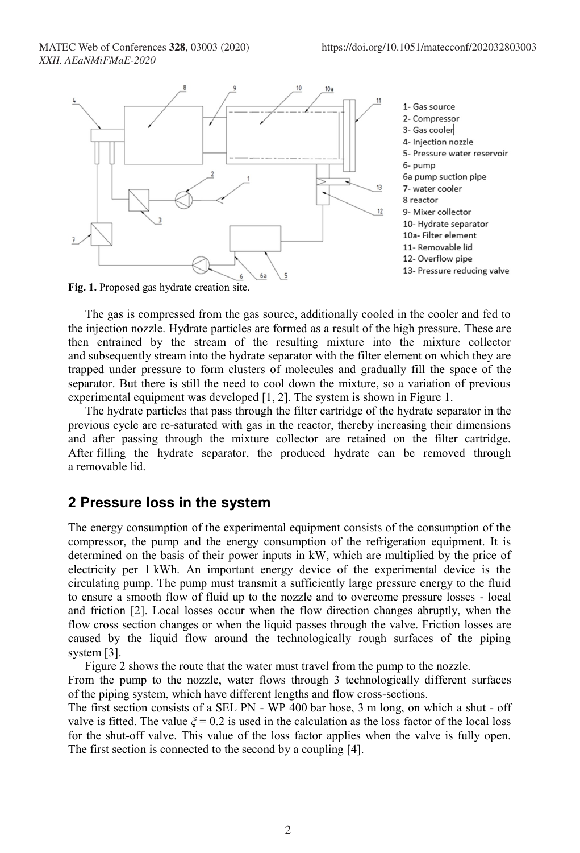

**Fig. 1.** Proposed gas hydrate creation site.

The gas is compressed from the gas source, additionally cooled in the cooler and fed to the injection nozzle. Hydrate particles are formed as a result of the high pressure. These are then entrained by the stream of the resulting mixture into the mixture collector and subsequently stream into the hydrate separator with the filter element on which they are trapped under pressure to form clusters of molecules and gradually fill the space of the separator. But there is still the need to cool down the mixture, so a variation of previous experimental equipment was developed [1, 2]. The system is shown in Figure 1.

The hydrate particles that pass through the filter cartridge of the hydrate separator in the previous cycle are re-saturated with gas in the reactor, thereby increasing their dimensions and after passing through the mixture collector are retained on the filter cartridge. After filling the hydrate separator, the produced hydrate can be removed through a removable lid.

## **2 Pressure loss in the system**

The energy consumption of the experimental equipment consists of the consumption of the compressor, the pump and the energy consumption of the refrigeration equipment. It is determined on the basis of their power inputs in kW, which are multiplied by the price of electricity per 1 kWh. An important energy device of the experimental device is the circulating pump. The pump must transmit a sufficiently large pressure energy to the fluid to ensure a smooth flow of fluid up to the nozzle and to overcome pressure losses - local and friction [2]. Local losses occur when the flow direction changes abruptly, when the flow cross section changes or when the liquid passes through the valve. Friction losses are caused by the liquid flow around the technologically rough surfaces of the piping system [3].

Figure 2 shows the route that the water must travel from the pump to the nozzle.

From the pump to the nozzle, water flows through 3 technologically different surfaces of the piping system, which have different lengths and flow cross-sections.

The first section consists of a SEL PN - WP 400 bar hose, 3 m long, on which a shut - off valve is fitted. The value  $\xi = 0.2$  is used in the calculation as the loss factor of the local loss for the shut-off valve. This value of the loss factor applies when the valve is fully open. The first section is connected to the second by a coupling [4].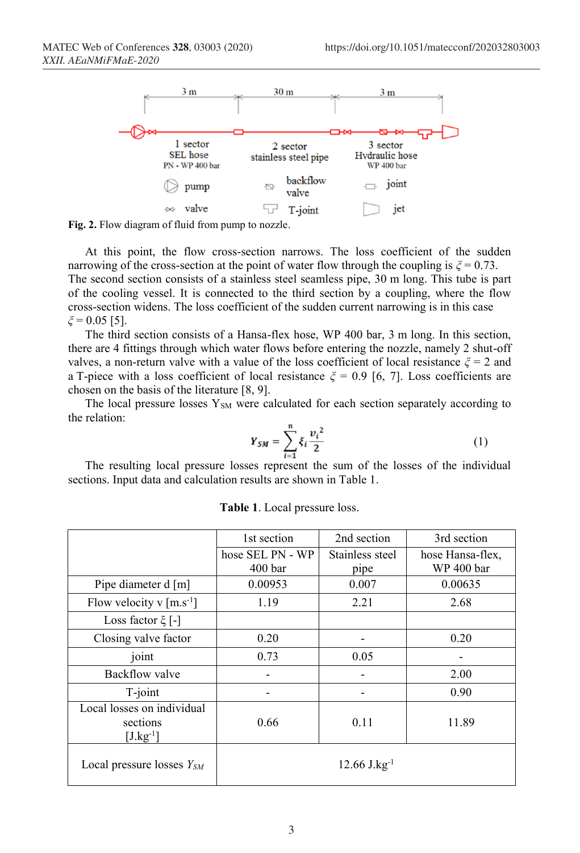

**Fig. 2.** Flow diagram of fluid from pump to nozzle.

At this point, the flow cross-section narrows. The loss coefficient of the sudden narrowing of the cross-section at the point of water flow through the coupling is  $\xi = 0.73$ . The second section consists of a stainless steel seamless pipe, 30 m long. This tube is part of the cooling vessel. It is connected to the third section by a coupling, where the flow cross-section widens. The loss coefficient of the sudden current narrowing is in this case *ξ* = 0.05 [5].

The third section consists of a Hansa-flex hose, WP 400 bar, 3 m long. In this section, there are 4 fittings through which water flows before entering the nozzle, namely 2 shut-off valves, a non-return valve with a value of the loss coefficient of local resistance *ξ* = 2 and a T-piece with a loss coefficient of local resistance  $\zeta = 0.9$  [6, 7]. Loss coefficients are chosen on the basis of the literature [8, 9].

The local pressure losses  $Y_{SM}$  were calculated for each section separately according to the relation:

$$
Y_{SM} = \sum_{i=1}^{n} \xi_i \frac{v_i^2}{2}
$$
 (1)

The resulting local pressure losses represent the sum of the losses of the individual sections. Input data and calculation results are shown in Table 1.

|                                                         | 1st section                | 2nd section     | 3rd section      |
|---------------------------------------------------------|----------------------------|-----------------|------------------|
|                                                         | hose SEL PN - WP           | Stainless steel | hose Hansa-flex, |
|                                                         | 400 <sub>bar</sub>         | pipe            | WP 400 bar       |
| Pipe diameter d [m]                                     | 0.00953                    | 0.007           | 0.00635          |
| Flow velocity v $\lceil m.s^{-1} \rceil$                | 1.19                       | 2.21            | 2.68             |
| Loss factor $\xi$ [-]                                   |                            |                 |                  |
| Closing valve factor                                    | 0.20                       |                 | 0.20             |
| joint                                                   | 0.73                       | 0.05            |                  |
| Backflow valve                                          |                            |                 | 2.00             |
| $T$ -joint                                              |                            |                 | 0.90             |
| Local losses on individual<br>sections<br>$[J.kg^{-1}]$ | 0.66                       | 0.11            | 11.89            |
| Local pressure losses $Y_{SM}$                          | $12.66$ J.kg <sup>-1</sup> |                 |                  |

**Table 1**. Local pressure loss.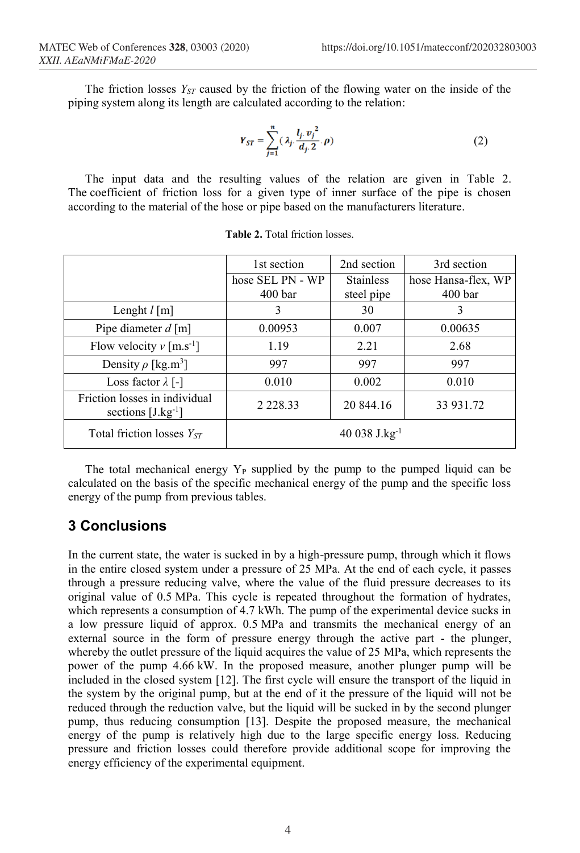The friction losses *Y<sub>ST</sub>* caused by the friction of the flowing water on the inside of the piping system along its length are calculated according to the relation:

$$
Y_{ST} = \sum_{j=1}^{n} (\lambda_j \frac{l_j \cdot v_j^2}{d_j \cdot 2} \cdot \rho) \tag{2}
$$

The input data and the resulting values of the relation are given in Table 2. The coefficient of friction loss for a given type of inner surface of the pipe is chosen according to the material of the hose or pipe based on the manufacturers literature.

|                                                         | 1st section                            | 2nd section                    | 3rd section                               |
|---------------------------------------------------------|----------------------------------------|--------------------------------|-------------------------------------------|
|                                                         | hose SEL PN - WP<br>400 <sub>bar</sub> | <b>Stainless</b><br>steel pipe | hose Hansa-flex, WP<br>400 <sub>bar</sub> |
| Lenght $l$ [m]                                          | 3                                      | 30                             | 3                                         |
| Pipe diameter $d$ [m]                                   | 0.00953                                | 0.007                          | 0.00635                                   |
| Flow velocity $v$ [m.s <sup>-1</sup> ]                  | 1.19                                   | 2.21                           | 2.68                                      |
| Density $\rho$ [kg.m <sup>3</sup> ]                     | 997                                    | 997                            | 997                                       |
| Loss factor $\lambda$ [-]                               | 0.010                                  | 0.002                          | 0.010                                     |
| Friction losses in individual<br>sections $[J.kg^{-1}]$ | 2 2 2 8 . 3 3                          | 20 844.16                      | 33 931.72                                 |
| Total friction losses $Y_{ST}$                          |                                        | 40 038 $J.kg^{-1}$             |                                           |

**Table 2.** Total friction losses.

The total mechanical energy  $Y_P$  supplied by the pump to the pumped liquid can be calculated on the basis of the specific mechanical energy of the pump and the specific loss energy of the pump from previous tables.

## **3 Conclusions**

In the current state, the water is sucked in by a high-pressure pump, through which it flows in the entire closed system under a pressure of 25 MPa. At the end of each cycle, it passes through a pressure reducing valve, where the value of the fluid pressure decreases to its original value of 0.5 MPa. This cycle is repeated throughout the formation of hydrates, which represents a consumption of 4.7 kWh. The pump of the experimental device sucks in a low pressure liquid of approx. 0.5 MPa and transmits the mechanical energy of an external source in the form of pressure energy through the active part - the plunger, whereby the outlet pressure of the liquid acquires the value of 25 MPa, which represents the power of the pump 4.66 kW. In the proposed measure, another plunger pump will be included in the closed system [12]. The first cycle will ensure the transport of the liquid in the system by the original pump, but at the end of it the pressure of the liquid will not be reduced through the reduction valve, but the liquid will be sucked in by the second plunger pump, thus reducing consumption [13]. Despite the proposed measure, the mechanical energy of the pump is relatively high due to the large specific energy loss. Reducing pressure and friction losses could therefore provide additional scope for improving the energy efficiency of the experimental equipment.